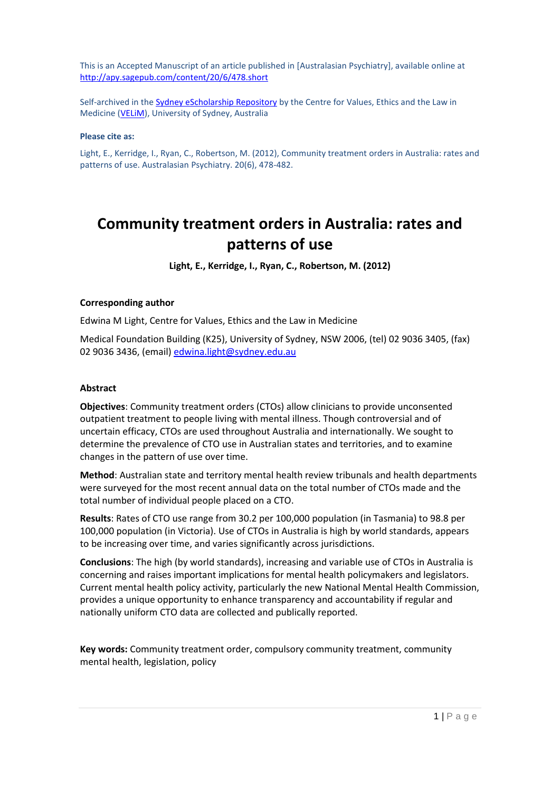This is an Accepted Manuscript of an article published in [Australasian Psychiatry], available online at <http://apy.sagepub.com/content/20/6/478.short>

Self-archived in th[e Sydney eScholarship Repository](http://ses.library.usyd.edu.au/handle/2123/10565) by the Centre for Values, Ethics and the Law in Medicine [\(VELiM\)](http://sydney.edu.au/medicine/velim/index.php), University of Sydney, Australia

#### **Please cite as:**

Light, E., Kerridge, I., Ryan, C., Robertson, M. (2012), Community treatment orders in Australia: rates and patterns of use. Australasian Psychiatry. 20(6), 478-482.

# **Community treatment orders in Australia: rates and patterns of use**

**Light, E., Kerridge, I., Ryan, C., Robertson, M. (2012)**

#### **Corresponding author**

Edwina M Light, Centre for Values, Ethics and the Law in Medicine

Medical Foundation Building (K25), University of Sydney, NSW 2006, (tel) 02 9036 3405, (fax) 02 9036 3436, (email[\) edwina.light@sydney.edu.au](mailto:edwina.light@sydney.edu.au)

#### **Abstract**

**Objectives**: Community treatment orders (CTOs) allow clinicians to provide unconsented outpatient treatment to people living with mental illness. Though controversial and of uncertain efficacy, CTOs are used throughout Australia and internationally. We sought to determine the prevalence of CTO use in Australian states and territories, and to examine changes in the pattern of use over time.

**Method**: Australian state and territory mental health review tribunals and health departments were surveyed for the most recent annual data on the total number of CTOs made and the total number of individual people placed on a CTO.

**Results**: Rates of CTO use range from 30.2 per 100,000 population (in Tasmania) to 98.8 per 100,000 population (in Victoria). Use of CTOs in Australia is high by world standards, appears to be increasing over time, and varies significantly across jurisdictions.

**Conclusions**: The high (by world standards), increasing and variable use of CTOs in Australia is concerning and raises important implications for mental health policymakers and legislators. Current mental health policy activity, particularly the new National Mental Health Commission, provides a unique opportunity to enhance transparency and accountability if regular and nationally uniform CTO data are collected and publically reported.

**Key words:** Community treatment order, compulsory community treatment, community mental health, legislation, policy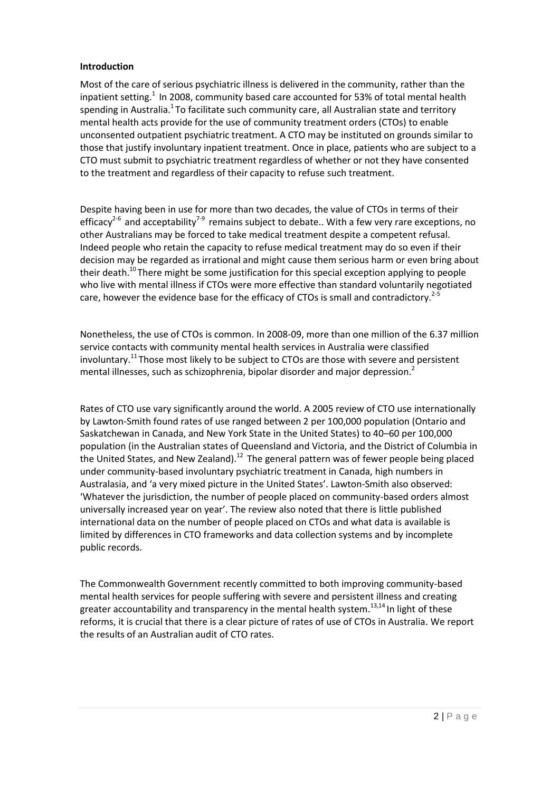## **Introduction**

Most of the care of serious psychiatric illness is delivered in the community, rather than the inpatient setting.<sup>1</sup> In 2008, community based care accounted for 53% of total mental health spending in Australia.<sup>1</sup> To facilitate such community care, all Australian state and territory mental health acts provide for the use of community treatment orders (CTOs) to enable unconsented outpatient psychiatric treatment. A CTO may be instituted on grounds similar to those that justify involuntary inpatient treatment. Once in place, patients who are subject to a CTO must submit to psychiatric treatment regardless of whether or not they have consented to the treatment and regardless of their capacity to refuse such treatment.

Despite having been in use for more than two decades, the value of CTOs in terms of their efficacy<sup>2-6</sup> and acceptability<sup>7-9</sup> remains subject to debate.. With a few very rare exceptions, no other Australians may be forced to take medical treatment despite a competent refusal. Indeed people who retain the capacity to refuse medical treatment may do so even if their decision may be regarded as irrational and might cause them serious harm or even bring about their death.<sup>10</sup>There might be some justification for this special exception applying to people who live with mental illness if CTOs were more effective than standard voluntarily negotiated care, however the evidence base for the efficacy of CTOs is small and contradictory.<sup>2-5</sup>

Nonetheless, the use of CTOs is common. In 2008-09, more than one million of the 6.37 million service contacts with community mental health services in Australia were classified involuntary.<sup>11</sup> Those most likely to be subject to CTOs are those with severe and persistent mental illnesses, such as schizophrenia, bipolar disorder and major depression.<sup>2</sup>

Rates of CTO use vary significantly around the world. A 2005 review of CTO use internationally by Lawton-Smith found rates of use ranged between 2 per 100,000 population (Ontario and Saskatchewan in Canada, and New York State in the United States) to 40–60 per 100,000 population (in the Australian states of Queensland and Victoria, and the District of Columbia in the United States, and New Zealand).<sup>12</sup> The general pattern was of fewer people being placed under community-based involuntary psychiatric treatment in Canada, high numbers in Australasia, and 'a very mixed picture in the United States'. Lawton-Smith also observed: 'Whatever the jurisdiction, the number of people placed on community-based orders almost universally increased year on year'. The review also noted that there is little published international data on the number of people placed on CTOs and what data is available is limited by differences in CTO frameworks and data collection systems and by incomplete public records.

The Commonwealth Government recently committed to both improving community-based mental health services for people suffering with severe and persistent illness and creating greater accountability and transparency in the mental health system.<sup>13,14</sup> In light of these reforms, it is crucial that there is a clear picture of rates of use of CTOs in Australia. We report the results of an Australian audit of CTO rates.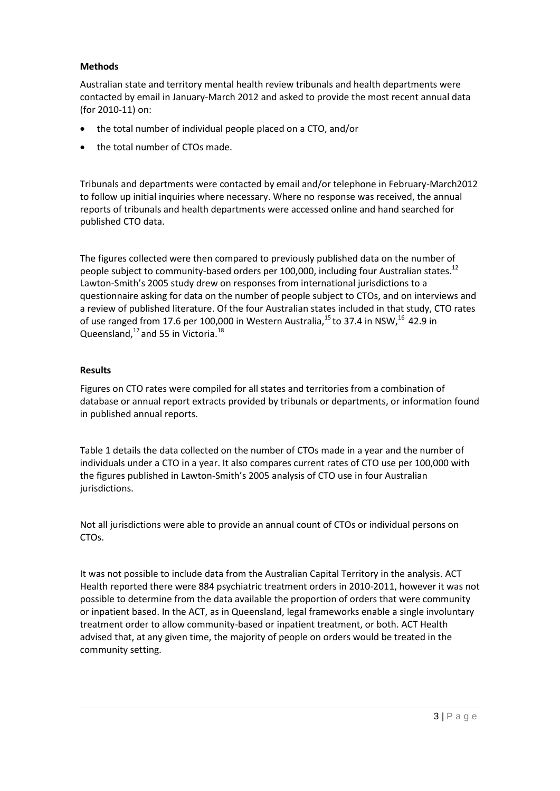## **Methods**

Australian state and territory mental health review tribunals and health departments were contacted by email in January-March 2012 and asked to provide the most recent annual data (for 2010-11) on:

- the total number of individual people placed on a CTO, and/or
- the total number of CTOs made.

Tribunals and departments were contacted by email and/or telephone in February-March2012 to follow up initial inquiries where necessary. Where no response was received, the annual reports of tribunals and health departments were accessed online and hand searched for published CTO data.

The figures collected were then compared to previously published data on the number of people subject to community-based orders per 100,000, including four Australian states.<sup>12</sup> Lawton-Smith's 2005 study drew on responses from international jurisdictions to a questionnaire asking for data on the number of people subject to CTOs, and on interviews and a review of published literature. Of the four Australian states included in that study, CTO rates of use ranged from 17.6 per 100,000 in Western Australia,<sup>15</sup> to 37.4 in NSW,<sup>16</sup> 42.9 in Queensland, $^{17}$  and 55 in Victoria. $^{18}$ 

## **Results**

Figures on CTO rates were compiled for all states and territories from a combination of database or annual report extracts provided by tribunals or departments, or information found in published annual reports.

Table 1 details the data collected on the number of CTOs made in a year and the number of individuals under a CTO in a year. It also compares current rates of CTO use per 100,000 with the figures published in Lawton-Smith's 2005 analysis of CTO use in four Australian jurisdictions.

Not all jurisdictions were able to provide an annual count of CTOs or individual persons on CTOs.

It was not possible to include data from the Australian Capital Territory in the analysis. ACT Health reported there were 884 psychiatric treatment orders in 2010-2011, however it was not possible to determine from the data available the proportion of orders that were community or inpatient based. In the ACT, as in Queensland, legal frameworks enable a single involuntary treatment order to allow community-based or inpatient treatment, or both. ACT Health advised that, at any given time, the majority of people on orders would be treated in the community setting.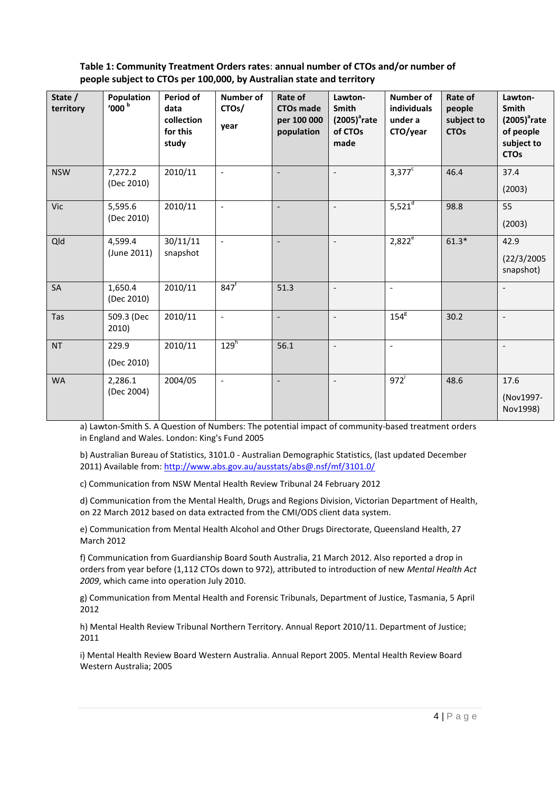# **Table 1: Community Treatment Orders rates**: **annual number of CTOs and/or number of people subject to CTOs per 100,000, by Australian state and territory**

| State /<br>territory | Population<br>$^{\prime}000$ $^{\rm b}$ | Period of<br>data<br>collection<br>for this<br>study | Number of<br>CTO <sub>s</sub> /<br>year | Rate of<br><b>CTOs made</b><br>per 100 000<br>population | Lawton-<br>Smith<br>$(2005)^3$ rate<br>of CTOs<br>made | <b>Number of</b><br>individuals<br>under a<br>CTO/year | Rate of<br>people<br>subject to<br><b>CTOs</b> | Lawton-<br><b>Smith</b><br>$(2005)^2$ rate<br>of people<br>subject to<br><b>CTOs</b> |
|----------------------|-----------------------------------------|------------------------------------------------------|-----------------------------------------|----------------------------------------------------------|--------------------------------------------------------|--------------------------------------------------------|------------------------------------------------|--------------------------------------------------------------------------------------|
| <b>NSW</b>           | 7,272.2<br>(Dec 2010)                   | 2010/11                                              | $\mathbb{L}$                            | $\overline{\phantom{a}}$                                 | $\overline{a}$                                         | $3,377^c$                                              | 46.4                                           | 37.4<br>(2003)                                                                       |
| Vic                  | 5,595.6<br>(Dec 2010)                   | 2010/11                                              | $\blacksquare$                          | $\overline{\phantom{a}}$                                 | $\overline{a}$                                         | $5,521^{d}$                                            | 98.8                                           | 55<br>(2003)                                                                         |
| Qld                  | 4,599.4<br>(June 2011)                  | 30/11/11<br>snapshot                                 | $\overline{\phantom{a}}$                | $\overline{\phantom{a}}$                                 | $\overline{a}$                                         | $2,822^e$                                              | $61.3*$                                        | 42.9<br>(22/3/2005<br>snapshot)                                                      |
| SA                   | 1,650.4<br>(Dec 2010)                   | 2010/11                                              | $847$ <sup>f</sup>                      | 51.3                                                     | $\overline{a}$                                         | $\overline{\phantom{a}}$                               |                                                | $\overline{\phantom{a}}$                                                             |
| Tas                  | 509.3 (Dec<br>2010)                     | 2010/11                                              | $\overline{\phantom{a}}$                | $\overline{\phantom{a}}$                                 | $\overline{a}$                                         | $154^8$                                                | 30.2                                           | $\overline{\phantom{a}}$                                                             |
| <b>NT</b>            | 229.9<br>(Dec 2010)                     | 2010/11                                              | $129^h$                                 | 56.1                                                     | $\overline{\phantom{a}}$                               | $\overline{\phantom{a}}$                               |                                                | $\overline{\phantom{a}}$                                                             |
| <b>WA</b>            | 2,286.1<br>(Dec 2004)                   | 2004/05                                              | $\overline{\phantom{a}}$                | $\overline{\phantom{a}}$                                 | $\overline{a}$                                         | 972                                                    | 48.6                                           | 17.6<br>(Nov1997-<br>Nov1998)                                                        |

a) Lawton-Smith S. A Question of Numbers: The potential impact of community-based treatment orders in England and Wales. London: King's Fund 2005

b) Australian Bureau of Statistics, 3101.0 - Australian Demographic Statistics, (last updated December 2011) Available from[: http://www.abs.gov.au/ausstats/abs@.nsf/mf/3101.0/](http://www.abs.gov.au/ausstats/abs@.nsf/mf/3101.0/)

c) Communication from NSW Mental Health Review Tribunal 24 February 2012

d) Communication from the Mental Health, Drugs and Regions Division, Victorian Department of Health, on 22 March 2012 based on data extracted from the CMI/ODS client data system.

e) Communication from Mental Health Alcohol and Other Drugs Directorate, Queensland Health, 27 March 2012

f) Communication from Guardianship Board South Australia, 21 March 2012. Also reported a drop in orders from year before (1,112 CTOs down to 972), attributed to introduction of new *Mental Health Act 2009*, which came into operation July 2010.

g) Communication from Mental Health and Forensic Tribunals, Department of Justice, Tasmania, 5 April 2012

h) Mental Health Review Tribunal Northern Territory. Annual Report 2010/11. Department of Justice; 2011

i) Mental Health Review Board Western Australia. Annual Report 2005. Mental Health Review Board Western Australia; 2005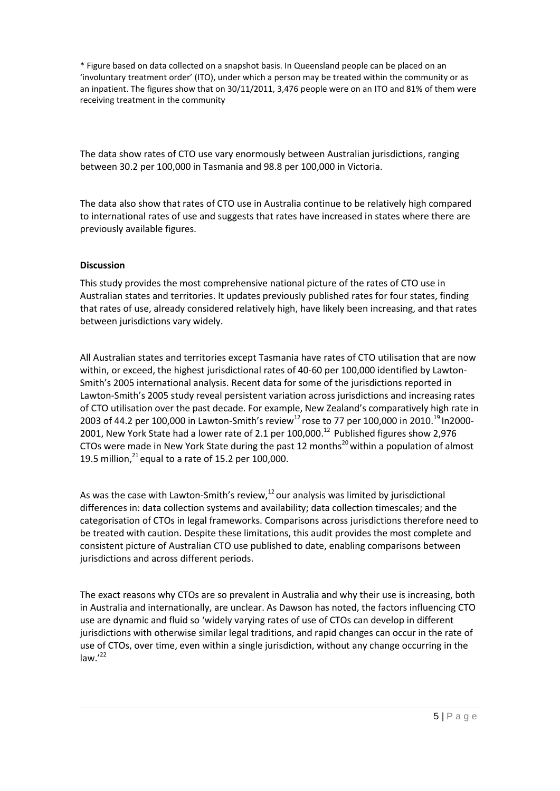\* Figure based on data collected on a snapshot basis. In Queensland people can be placed on an 'involuntary treatment order' (ITO), under which a person may be treated within the community or as an inpatient. The figures show that on 30/11/2011, 3,476 people were on an ITO and 81% of them were receiving treatment in the community

The data show rates of CTO use vary enormously between Australian jurisdictions, ranging between 30.2 per 100,000 in Tasmania and 98.8 per 100,000 in Victoria.

The data also show that rates of CTO use in Australia continue to be relatively high compared to international rates of use and suggests that rates have increased in states where there are previously available figures.

## **Discussion**

This study provides the most comprehensive national picture of the rates of CTO use in Australian states and territories. It updates previously published rates for four states, finding that rates of use, already considered relatively high, have likely been increasing, and that rates between jurisdictions vary widely.

All Australian states and territories except Tasmania have rates of CTO utilisation that are now within, or exceed, the highest jurisdictional rates of 40-60 per 100,000 identified by Lawton-Smith's 2005 international analysis. Recent data for some of the jurisdictions reported in Lawton-Smith's 2005 study reveal persistent variation across jurisdictions and increasing rates of CTO utilisation over the past decade. For example, New Zealand's comparatively high rate in 2003 of 44.2 per 100,000 in Lawton-Smith's review<sup>12</sup> rose to 77 per 100,000 in 2010.<sup>19</sup> In2000-2001, New York State had a lower rate of 2.1 per 100,000.<sup>12</sup> Published figures show 2,976 CTOs were made in New York State during the past 12 months<sup>20</sup> within a population of almost 19.5 million, $^{21}$  equal to a rate of 15.2 per 100,000.

As was the case with Lawton-Smith's review, $^{12}$  our analysis was limited by jurisdictional differences in: data collection systems and availability; data collection timescales; and the categorisation of CTOs in legal frameworks. Comparisons across jurisdictions therefore need to be treated with caution. Despite these limitations, this audit provides the most complete and consistent picture of Australian CTO use published to date, enabling comparisons between jurisdictions and across different periods.

The exact reasons why CTOs are so prevalent in Australia and why their use is increasing, both in Australia and internationally, are unclear. As Dawson has noted, the factors influencing CTO use are dynamic and fluid so 'widely varying rates of use of CTOs can develop in different jurisdictions with otherwise similar legal traditions, and rapid changes can occur in the rate of use of CTOs, over time, even within a single jurisdiction, without any change occurring in the law. $^{\prime22}$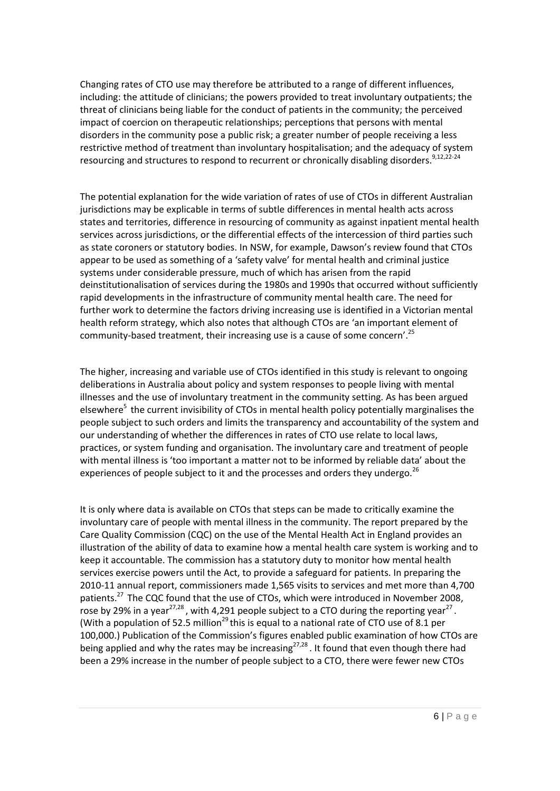Changing rates of CTO use may therefore be attributed to a range of different influences, including: the attitude of clinicians; the powers provided to treat involuntary outpatients; the threat of clinicians being liable for the conduct of patients in the community; the perceived impact of coercion on therapeutic relationships; perceptions that persons with mental disorders in the community pose a public risk; a greater number of people receiving a less restrictive method of treatment than involuntary hospitalisation; and the adequacy of system resourcing and structures to respond to recurrent or chronically disabling disorders.<sup>9,12,22-24</sup>

The potential explanation for the wide variation of rates of use of CTOs in different Australian jurisdictions may be explicable in terms of subtle differences in mental health acts across states and territories, difference in resourcing of community as against inpatient mental health services across jurisdictions, or the differential effects of the intercession of third parties such as state coroners or statutory bodies. In NSW, for example, Dawson's review found that CTOs appear to be used as something of a 'safety valve' for mental health and criminal justice systems under considerable pressure, much of which has arisen from the rapid deinstitutionalisation of services during the 1980s and 1990s that occurred without sufficiently rapid developments in the infrastructure of community mental health care. The need for further work to determine the factors driving increasing use is identified in a Victorian mental health reform strategy, which also notes that although CTOs are 'an important element of community-based treatment, their increasing use is a cause of some concern'.<sup>25</sup>

The higher, increasing and variable use of CTOs identified in this study is relevant to ongoing deliberations in Australia about policy and system responses to people living with mental illnesses and the use of involuntary treatment in the community setting. As has been argued elsewhere<sup>5</sup> the current invisibility of CTOs in mental health policy potentially marginalises the people subject to such orders and limits the transparency and accountability of the system and our understanding of whether the differences in rates of CTO use relate to local laws, practices, or system funding and organisation. The involuntary care and treatment of people with mental illness is 'too important a matter not to be informed by reliable data' about the experiences of people subject to it and the processes and orders they undergo.<sup>26</sup>

It is only where data is available on CTOs that steps can be made to critically examine the involuntary care of people with mental illness in the community. The report prepared by the Care Quality Commission (CQC) on the use of the Mental Health Act in England provides an illustration of the ability of data to examine how a mental health care system is working and to keep it accountable. The commission has a statutory duty to monitor how mental health services exercise powers until the Act, to provide a safeguard for patients. In preparing the 2010-11 annual report, commissioners made 1,565 visits to services and met more than 4,700 patients.<sup>27</sup> The CQC found that the use of CTOs, which were introduced in November 2008, rose by 29% in a year<sup>27,28</sup>, with 4,291 people subject to a CTO during the reporting year<sup>27</sup>. (With a population of 52.5 million<sup>29</sup> this is equal to a national rate of CTO use of 8.1 per 100,000.) Publication of the Commission's figures enabled public examination of how CTOs are being applied and why the rates may be increasing<sup>27,28</sup>. It found that even though there had been a 29% increase in the number of people subject to a CTO, there were fewer new CTOs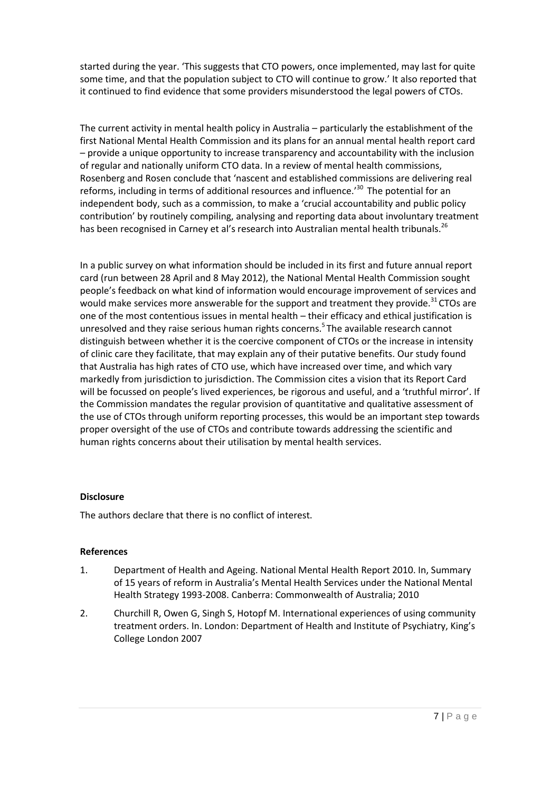started during the year. 'This suggests that CTO powers, once implemented, may last for quite some time, and that the population subject to CTO will continue to grow.' It also reported that it continued to find evidence that some providers misunderstood the legal powers of CTOs.

The current activity in mental health policy in Australia – particularly the establishment of the first National Mental Health Commission and its plans for an annual mental health report card – provide a unique opportunity to increase transparency and accountability with the inclusion of regular and nationally uniform CTO data. In a review of mental health commissions, Rosenberg and Rosen conclude that 'nascent and established commissions are delivering real reforms, including in terms of additional resources and influence.<sup>30</sup> The potential for an independent body, such as a commission, to make a 'crucial accountability and public policy contribution' by routinely compiling, analysing and reporting data about involuntary treatment has been recognised in Carney et al's research into Australian mental health tribunals.<sup>26</sup>

In a public survey on what information should be included in its first and future annual report card (run between 28 April and 8 May 2012), the National Mental Health Commission sought people's feedback on what kind of information would encourage improvement of services and would make services more answerable for the support and treatment they provide.<sup>31</sup> CTOs are one of the most contentious issues in mental health – their efficacy and ethical justification is unresolved and they raise serious human rights concerns.<sup>5</sup> The available research cannot distinguish between whether it is the coercive component of CTOs or the increase in intensity of clinic care they facilitate, that may explain any of their putative benefits. Our study found that Australia has high rates of CTO use, which have increased over time, and which vary markedly from jurisdiction to jurisdiction. The Commission cites a vision that its Report Card will be focussed on people's lived experiences, be rigorous and useful, and a 'truthful mirror'. If the Commission mandates the regular provision of quantitative and qualitative assessment of the use of CTOs through uniform reporting processes, this would be an important step towards proper oversight of the use of CTOs and contribute towards addressing the scientific and human rights concerns about their utilisation by mental health services.

# **Disclosure**

The authors declare that there is no conflict of interest.

# **References**

- 1. Department of Health and Ageing. National Mental Health Report 2010. In, Summary of 15 years of reform in Australia's Mental Health Services under the National Mental Health Strategy 1993-2008. Canberra: Commonwealth of Australia; 2010
- 2. Churchill R, Owen G, Singh S, Hotopf M. International experiences of using community treatment orders. In. London: Department of Health and Institute of Psychiatry, King's College London 2007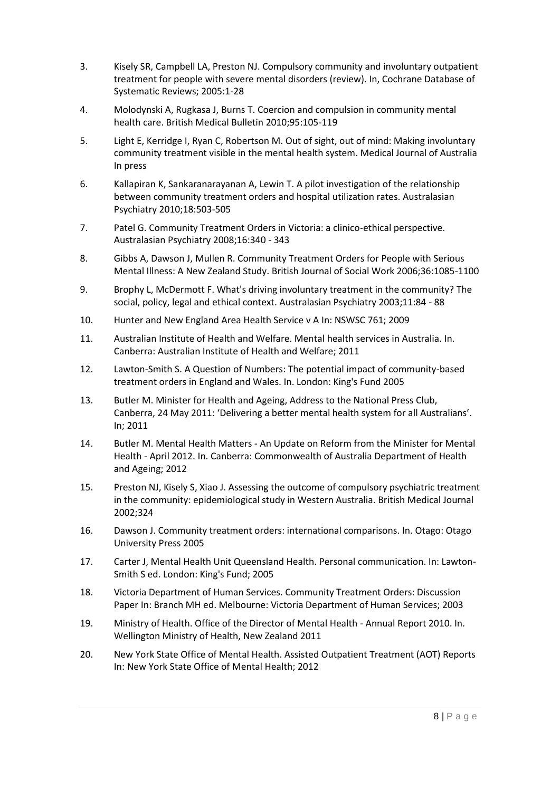- 3. Kisely SR, Campbell LA, Preston NJ. Compulsory community and involuntary outpatient treatment for people with severe mental disorders (review). In, Cochrane Database of Systematic Reviews; 2005:1-28
- 4. Molodynski A, Rugkasa J, Burns T. Coercion and compulsion in community mental health care. British Medical Bulletin 2010;95:105-119
- 5. Light E, Kerridge I, Ryan C, Robertson M. Out of sight, out of mind: Making involuntary community treatment visible in the mental health system. Medical Journal of Australia In press
- 6. Kallapiran K, Sankaranarayanan A, Lewin T. A pilot investigation of the relationship between community treatment orders and hospital utilization rates. Australasian Psychiatry 2010;18:503-505
- 7. Patel G. Community Treatment Orders in Victoria: a clinico-ethical perspective. Australasian Psychiatry 2008;16:340 - 343
- 8. Gibbs A, Dawson J, Mullen R. Community Treatment Orders for People with Serious Mental Illness: A New Zealand Study. British Journal of Social Work 2006;36:1085-1100
- 9. Brophy L, McDermott F. What's driving involuntary treatment in the community? The social, policy, legal and ethical context. Australasian Psychiatry 2003;11:84 - 88
- 10. Hunter and New England Area Health Service v A In: NSWSC 761; 2009
- 11. Australian Institute of Health and Welfare. Mental health services in Australia. In. Canberra: Australian Institute of Health and Welfare; 2011
- 12. Lawton-Smith S. A Question of Numbers: The potential impact of community-based treatment orders in England and Wales. In. London: King's Fund 2005
- 13. Butler M. Minister for Health and Ageing, Address to the National Press Club, Canberra, 24 May 2011: 'Delivering a better mental health system for all Australians'. In; 2011
- 14. Butler M. Mental Health Matters An Update on Reform from the Minister for Mental Health - April 2012. In. Canberra: Commonwealth of Australia Department of Health and Ageing; 2012
- 15. Preston NJ, Kisely S, Xiao J. Assessing the outcome of compulsory psychiatric treatment in the community: epidemiological study in Western Australia. British Medical Journal 2002;324
- 16. Dawson J. Community treatment orders: international comparisons. In. Otago: Otago University Press 2005
- 17. Carter J, Mental Health Unit Queensland Health. Personal communication. In: Lawton-Smith S ed. London: King's Fund; 2005
- 18. Victoria Department of Human Services. Community Treatment Orders: Discussion Paper In: Branch MH ed. Melbourne: Victoria Department of Human Services; 2003
- 19. Ministry of Health. Office of the Director of Mental Health Annual Report 2010. In. Wellington Ministry of Health, New Zealand 2011
- 20. New York State Office of Mental Health. Assisted Outpatient Treatment (AOT) Reports In: New York State Office of Mental Health; 2012